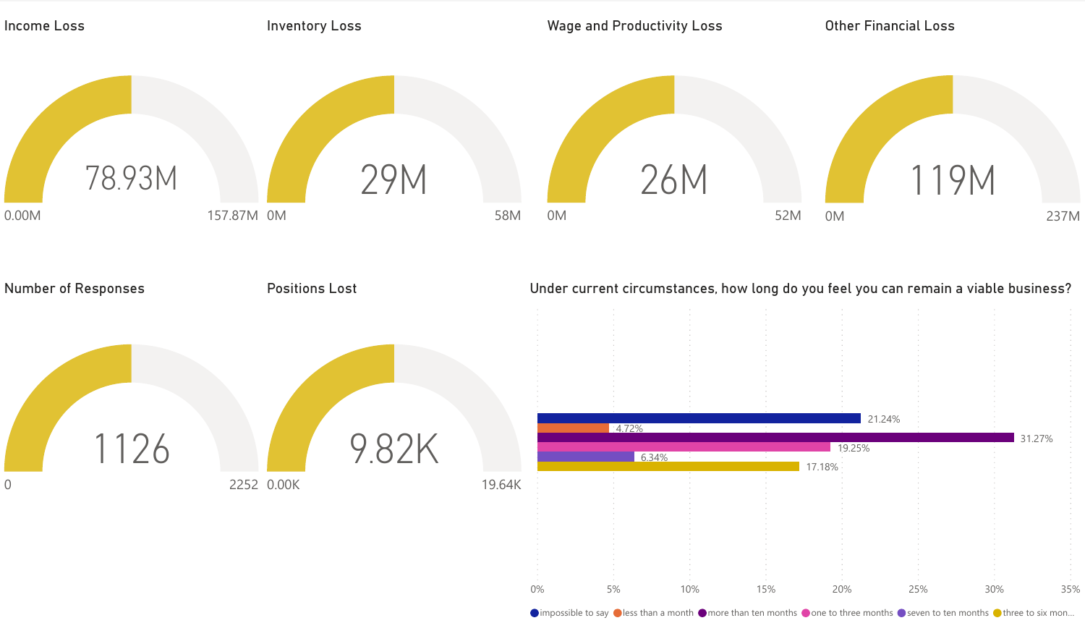

 $\bigcirc$  impossible to say  $\bigcirc$  less than a month  $\bigcirc$  more than ten months  $\bigcirc$  one to three months  $\bigcirc$  seven to ten months  $\bigcirc$  three to six mon...